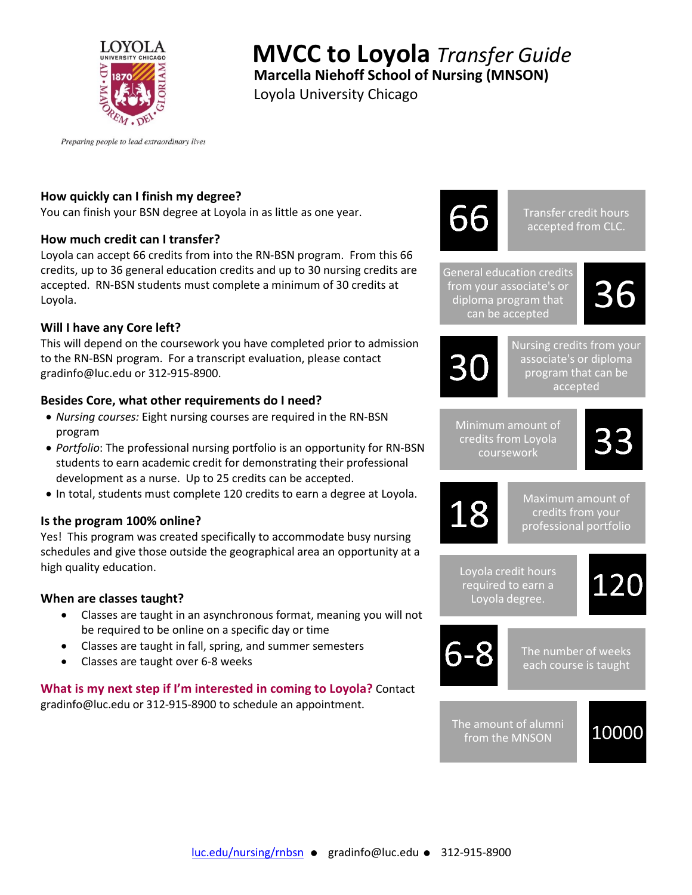

# **MVCC to Loyola** *Transfer Guide*

**Marcella Niehoff School of Nursing (MNSON)**

Loyola University Chicago

Preparing people to lead extraordinary lives

## **How quickly can I finish my degree?**

You can finish your BSN degree at Loyola in as little as one year.

### **How much credit can I transfer?**

Loyola can accept 66 credits from into the RN-BSN program. From this 66 credits, up to 36 general education credits and up to 30 nursing credits are accepted. RN-BSN students must complete a minimum of 30 credits at Loyola.

### **Will I have any Core left?**

This will depend on the coursework you have completed prior to admission to the RN-BSN program. For a transcript evaluation, please contact gradinfo@luc.edu or 312-915-8900.

# **Besides Core, what other requirements do I need?**

- *Nursing courses:* Eight nursing courses are required in the RN-BSN program
- *Portfolio*: The professional nursing portfolio is an opportunity for RN-BSN students to earn academic credit for demonstrating their professional development as a nurse. Up to 25 credits can be accepted.
- In total, students must complete 120 credits to earn a degree at Loyola.

### **Is the program 100% online?**

Yes! This program was created specifically to accommodate busy nursing schedules and give those outside the geographical area an opportunity at a high quality education.

### **When are classes taught?**

- Classes are taught in an asynchronous format, meaning you will not be required to be online on a specific day or time
- Classes are taught in fall, spring, and summer semesters
- Classes are taught over 6-8 weeks

#### **What is my next step if I'm interested in coming to Loyola?** Contact gradinfo@luc.edu or 312-915-8900 to schedule an appointment.